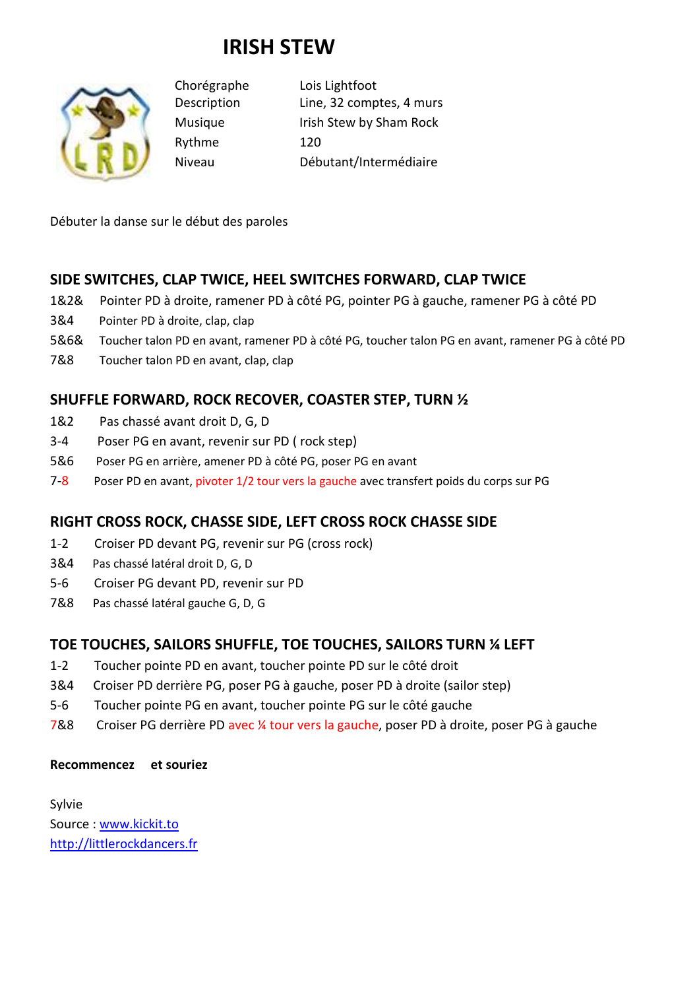# **IRISH STEW**



Rythme 120

Chorégraphe Lois Lightfoot Description Line, 32 comptes, 4 murs Musique Irish Stew by Sham Rock Niveau Débutant/Intermédiaire

Débuter la danse sur le début des paroles

## **SIDE SWITCHES, CLAP TWICE, HEEL SWITCHES FORWARD, CLAP TWICE**

- 1&2& Pointer PD à droite, ramener PD à côté PG, pointer PG à gauche, ramener PG à côté PD
- 3&4 Pointer PD à droite, clap, clap
- 5&6& Toucher talon PD en avant, ramener PD à côté PG, toucher talon PG en avant, ramener PG à côté PD
- 7&8 Toucher talon PD en avant, clap, clap

## **SHUFFLE FORWARD, ROCK RECOVER, COASTER STEP, TURN ½**

- 1&2 Pas chassé avant droit D, G, D
- 3-4 Poser PG en avant, revenir sur PD ( rock step)
- 5&6 Poser PG en arrière, amener PD à côté PG, poser PG en avant
- 7-8 Poser PD en avant, pivoter 1/2 tour vers la gauche avec transfert poids du corps sur PG

#### **RIGHT CROSS ROCK, CHASSE SIDE, LEFT CROSS ROCK CHASSE SIDE**

- 1-2 Croiser PD devant PG, revenir sur PG (cross rock)
- 3&4 Pas chassé latéral droit D, G, D
- 5-6 Croiser PG devant PD, revenir sur PD
- 7&8 Pas chassé latéral gauche G, D, G

#### **TOE TOUCHES, SAILORS SHUFFLE, TOE TOUCHES, SAILORS TURN ¼ LEFT**

- 1-2 Toucher pointe PD en avant, toucher pointe PD sur le côté droit
- 3&4 Croiser PD derrière PG, poser PG à gauche, poser PD à droite (sailor step)
- 5-6 Toucher pointe PG en avant, toucher pointe PG sur le côté gauche
- 7&8 Croiser PG derrière PD avec ¼ tour vers la gauche, poser PD à droite, poser PG à gauche

#### **Recommencez et souriez**

Sylvie Source : www.kickit.to http://littlerockdancers.fr